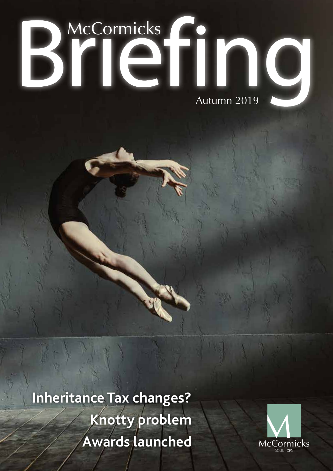# Briefing

**Inheritance Tax changes? Knotty problem Awards launched**

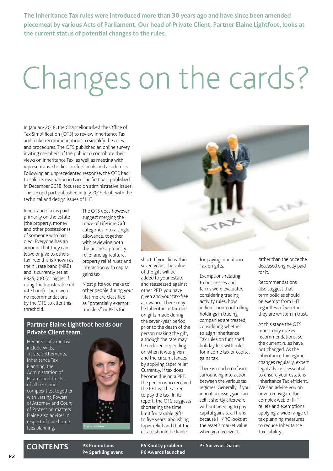**The Inheritance Tax rules were introduced more than 30 years ago and have since been amended piecemeal by various Acts of Parliament. Our head of Private Client, Partner Elaine Lightfoot, looks at the current status of potential changes to the rules.**

## Changes on the cards?

In January 2018, the Chancellor asked the Office of Tax Simplification (OTS) to review Inheritance Tax and make recommendations to simplify the rules and procedures. The OTS published an online survey inviting members of the public to contribute their views on Inheritance Tax, as well as meeting with representative bodies, professionals and academics. Following an unprecedented response, the OTS had to split its evaluation in two. The first part published in December 2018, focussed on administrative issues. The second part published in July 2019 dealt with the technical and design issues of IHT.

Inheritance Tax is paid primarily on the estate (the property, money and other possessions) of someone who has died. Everyone has an amount that they can leave or give to others tax free; this is known as the nil rate band (NRB) and is currently set at £325,000 (or higher if using the transferable nil rate band). There were no recommendations by the OTS to alter this threshold.

The OTS does however suggest merging the maze of Lifetime Gift categories into a single allowance, together with reviewing both the business property relief and agricultural property relief rules and interaction with capital gains tax.

Most gifts you make to other people during your lifetime are classified as "potentially exempt transfers" or PETs for



Her areas of expertise include Wills, Trusts, Settlements, Inheritance Tax Planning, the Administration of Estates and Trusts of all sizes and complexities, together with Lasting Powers of Attorney and Court of Protection matters. Elaine also advises in respect of care home fees planning.



on gifts made during the seven-year period prior to the death of the person making the gift, although the rate may be reduced depending on when it was given and the circumstances by applying taper relief. Currently, if tax does become due on a PET, the person who received the PET will be asked to pay the tax. In its report, the OTS suggests shortening the time limit for taxable gifts to five years, abolishing taper relief and that the estate should be liable

short. If you die within seven years, the value of the gift will be added to your estate and reassessed against other PETs you have given and your tax-free allowance. There may be Inheritance Tax due

for paying Inheritance Tax on gifts.

Exemptions relating to businesses and farms were evaluated considering trading activity rules, how indirect non-controlling holdings in trading companies are treated; considering whether to align Inheritance Tax rules on furnished holiday lets with rules for income tax or capital gains tax.

There is much confusion surrounding interaction between the various tax regimes: Generally, if you inherit an asset, you can sell it shortly afterward without needing to pay capital gains tax. This is because HMRC looks at the asset's market value when you receive it,

rather than the price the deceased originally paid for it.

Recommendations also suggest that term policies should be exempt from IHT regardless of whether they are written in trust.

At this stage the OTS report only makes recommendations, so the current rules have not changed. As the Inheritance Tax regime changes regularly, expert legal advice is essential to ensure your estate is Inheritance Tax efficient. We can advise you on how to navigate the complex web of IHT reliefs and exemptions applying a wide range of tax planning measures to reduce Inheritance Tax liability.



**CONTENTS P3 Promotions**

**P4 Sparkling event**

**P5 Knotty problem P6 Awards launched P7 Survivor Diaries**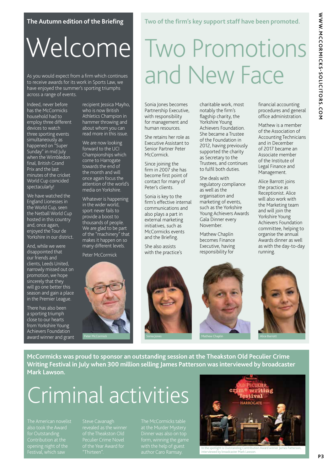#### **The Autumn edition of the Briefing**

## Welcome

As you would expect from a firm which continues to receive awards for its work in Sports Law, we have enjoyed the summer's sporting triumphs across a range of events.

Indeed, never before has the McCormicks household had to employ three different devices to watch three sporting events simultaneously as happened on "Super Sunday" in mid July when the Wimbledon final, British Grand Prix and the last minutes of the cricket World Cup coincided spectacularly!

We have watched the England Lionesses in the World Cup, seen the Netball World Cup hosted in this country and, once again, enjoyed the Tour de Yorkshire in our district.

And, while we were disappointed that our friends and clients, Leeds United, narrowly missed out on promotion, we hope sincerely that they will go one better this season and gain a place in the Premier League.

There has also been a sporting triumph close to our hearts from Yorkshire Young Achievers Foundation award winner and grant recipient Jessica Mayho, who is now British Athletics Champion in hammer throwing and about whom you can read more in this issue.

We are now looking forward to the UCI Championships which come to Harrogate towards the end of the month and will once again focus the attention of the world's media on Yorkshire.

Whatever is happening in the wider world, sport never fails to provide a boost to thousands of people. We are glad to be part of the "machinery" that makes it happen on so many different levels.

Peter McCormick



## Two Promotions and New Face

**Two of the firm's key support staff have been promoted.**

Sonia Jones becomes Partnership Executive, with responsibility for management and human resources.

She retains her role as Executive Assistant to Senior Partner Peter McCormick.

Since joining the firm in 2007 she has become first point of contact for many of Peter's clients.

Sonia is key to the firm's effective internal communications and also plays a part in external marketing initiatives, such as McCormicks events and the Briefing.

She also assists with the practice's



She deals with regulatory compliance as well as the organisation and marketing of events, such as the Yorkshire Young Achievers Awards Gala Dinner every November.

Mathew Chaplin becomes Finance Executive, having responsibility for



Mathew is a member of the Association of Accounting Technicians and in December of 2017 became an Associate member of the Institute of Legal Finance and Management.

Alice Barrott joins the practice as Receptionist. Alice will also work with the Marketing team and will join the Yorkshire Young Achievers Foundation committee, helping to organise the annual Awards dinner as well as with the day-to-day running.







**McCormicks was proud to sponsor an outstanding session at the Theakston Old Peculier Crime Writing Festival in July when 300 million selling James Patterson was interviewed by broadcaster Mark Lawson.**

### Criminal activities

for Outstanding opening night of the Festival, which saw

"Thirteen".

with the help of guest



In the spotlight is Outstanding Contribution Award winner James Patterson, raight is Gatstanding Comm<br>ied by broadcaster Mark Law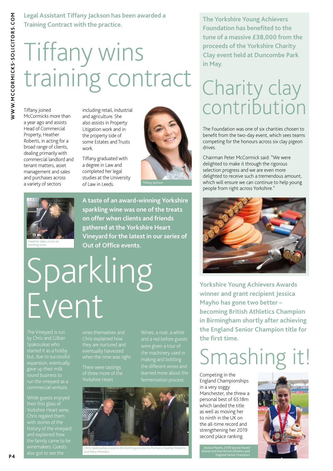## Tiffany wins training contract

Tiffany joined McCormicks more than a year ago and assists Head of Commercial Property, Heather Roberts, in acting for a broad range of clients, dealing primarily with commercial landlord and tenant matters, asset management and sales and purchases across a variety of sectors

including retail, industrial and agriculture. She also assists in Property Litigation work and in the property side of some Estates and Trusts work.

Tiffany graduated with a degree in Law and completed her legal studies at the University of Law in Leeds.



Heather takes a turn at bottling wine

**A taste of an award-winning Yorkshire sparkling wine was one of the treats on offer when clients and friends gathered at the Yorkshire Heart Vineyard for the latest in our series of Out of Office events.**

## Sparkling Event

started it as a hobby but, due to successful expansion, eventually gave up their milk round business to run the vineyard as a

While guests enjoyed their first glass of Yorkshire Heart wine, Chris regaled them with stories of the history of the vineyard

making and bottling the different wines and fermentation proces.



ris Spakouskas explains the bottling proc and Peter Minnikin

**The Yorkshire Young Achievers Foundation has benefited to the tune of a massive £38,000 from the proceeds of the Yorkshire Charity Clay event held at Duncombe Park in May.**

# Charity clay<br>contribution

The Foundation was one of six charities chosen to benefit from the two-day event, which sees teams competing for the honours across six clay pigeon drives.

Chairman Peter McCormick said: "We were delighted to make it through the rigorous selection progress and we are even more delighted to receive such a tremendous amount, which will ensure we can continue to help young people from right across Yorkshire."



**Yorkshire Young Achievers Awards winner and grant recipient Jessica Mayho has gone two better – becoming British Athletics Champion in Birmingham shortly after achieving the England Senior Champion title for the first time.**

#### Smashing it!

Competing in the England Championships in a very soggy Manchester, she threw a personal best of 65.18m which landed the title as well as moving her to ninth in the UK on the all-time record and strengthening her 2019 second place ranking.

Jessica Mayho, 2018 Special Award winner and now British Athletics and England Senior Champion

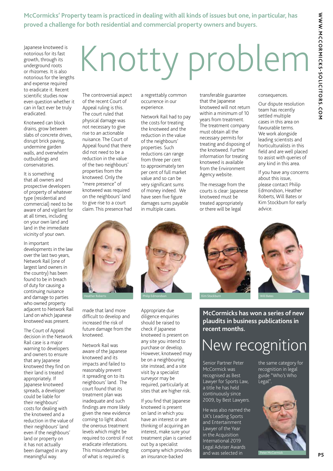**McCormicks' Property team is practiced in dealing with all kinds of issues but one, in particular, has proved a challenge for both residential and commercial property owners and buyers.**

Japanese knotweed is notorious for its fast growth, through its underground roots or rhizomes. It is also notorious for the lengths and expense required to eradicate it. Recent scientific studies now even question whether it can in fact ever be truly eradicated.

Knotweed can block drains, grow between slabs of concrete drives, disrupt brick paving, undermine garden walls, and overwhelm outbuildings and conservatories.

It is something that all owners and prospective developers of property of whatever type (residential and commercial) need to be aware of and vigilant for at all times, including on your own land and land in the immediate vicinity of your own.

In important developments in the law over the last two years, Network Rail (one of largest land owners in the country) has been found to be in breach of duty for causing a continuing nuisance and damage to parties who owned property adjacent to Network Rail Land on which Japanese knotweed was present.

The Court of Appeal decision in the Network Rail case is a major warning to developers and owners to ensure that any Japanese knotweed they find on their land is treated appropriately. If Japanese knotweed spreads, a developer could be liable for their neighbours' costs for dealing with the knotweed and a reduction in the value of their neighbours' land even if the neighbours' land or property on it has not actually been damaged in any meaningful way.

# Knotty problem

The controversial aspect of the recent Court of Appeal ruling is this. The court ruled that physical damage was not necessary to give rise to an actionable nuisance. The Court of Appeal found that there did not need to be a reduction in the value of the two neighbours' properties from the knotweed. Only the "mere presence" of knotweed was required on the neighbours' land to give rise to a court claim. This presence had

a regrettably common occurrence in our experience.

Network Rail had to pay the costs for treating the knotweed and the reduction in the value of the neighbours' properties. Such reductions can range from three per cent to approximately ten per cent of full market value and so can be very significant sums of money indeed. We have seen five figure damages sums payable in multiple cases.

transferable guarantee that the Japanese knotweed will not return within a minimum of 10 years from treatment. The treatment company must obtain all the necessary permits for treating and disposing of the knotweed. Further information for treating knotweed is available from the Environment Agency website.

The message from the courts is clear: Japanese knotweed must be treated appropriately or there will be legal

consequences.

Our dispute resolution team has recently settled multiple cases in this area on favourable terms. We work alongside leading scientists and horticulturalists in this field and are well placed to assist with queries of any kind in this area.

If you have any concerns about this issue, please contact Philip Edmondson, Heather Roberts, Will Bates or Kim Stockburn for early advice.



made that land more difficult to develop and increased the risk of future damage from the knotweed.

Network Rail was aware of the Japanese knotweed and its impacts and failed to reasonably prevent it spreading on to its neighbours' land. The court found that its treatment plan was inadequate and such findings are more likely given the new evidence coming to light about the onerous treatment levels which might be required to control if not eradicate infestations. This misunderstanding of what is required is



Appropriate due diligence enquiries should be raised to check if Japanese knotweed is present on any site you intend to purchase or develop. .<br>However, knotweed may be on a neighbouring site instead, and a site visit by a specialist surveyor may be required, particularly at sites that are higher risk.

If you find that Japanese knotweed is present on land in which you have an interest or are thinking of acquiring an interest, make sure your treatment plan is carried out by a specialist company which provides an insurance-backed





**McCormicks has won a series of new plaudits in business publications in recent months.**

#### New recognition

Senior Partner Peter McCormick was recognised as Best Lawyer for Sports Law, a title he has held continuously since 2009, by Best Lawyers.

He was also named the UK's Leading Sports and Entertainment Lawyer of the Year in the Acquisition International 2019 Legal Adviser Awards and was selected in

the same category for recognition in legal guide "Who's Who Legal".



Peter McCormick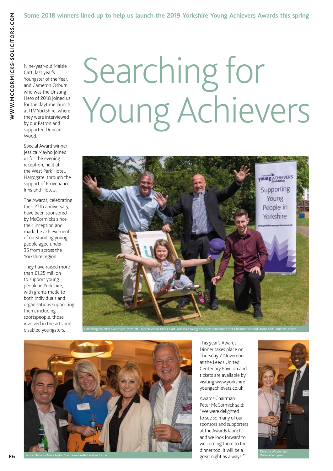Nine-year-old Maisie Catt, last year's Youngster of the Year, and Cameron Osburn who was the Unsung Hero of 2018 joined us for the daytime launch at ITV Yorkshire, where they were interviewed by our Patron and supporter, Duncan Wood.

Special Award winner Jessica Mayho joined us for the evening reception, held at the West Park Hotel, Harrogate, through the support of Provenance Inns and Hotels.

The Awards, celebrating their 27th anniversary, have been sponsored by McCormicks since their inception and mark the achievements of outstanding young people aged under 35 from across the Yorkshire region.

They have raised more than £1.25 million to support young people in Yorkshire, with grants made to both individuals and organisations supporting them, including sportspeople, those involved in the arts and disabled youngsters.

# Searching for Young Achievers





This year's Awards Dinner takes place on Thursday 7 November at the Leeds United Centenary Pavilion and tickets are available by visiting www.yorkshire youngachievers.co.uk

Awards Chairman Peter McCormick said: "We were delighted to see so many of our sponsors and supporters at the Awards launch and we look forward to welcoming them to the dinner too. It will be a great night as always!"



Wallace Sampson

**P 6**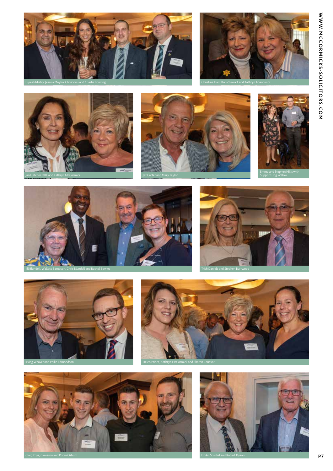









Jez Carter and Mary Taylor





Jill Blundell, Wallace Sampson, Chris Blundell and Rachel Bowles Trish Daniels and Stephen Burrwood